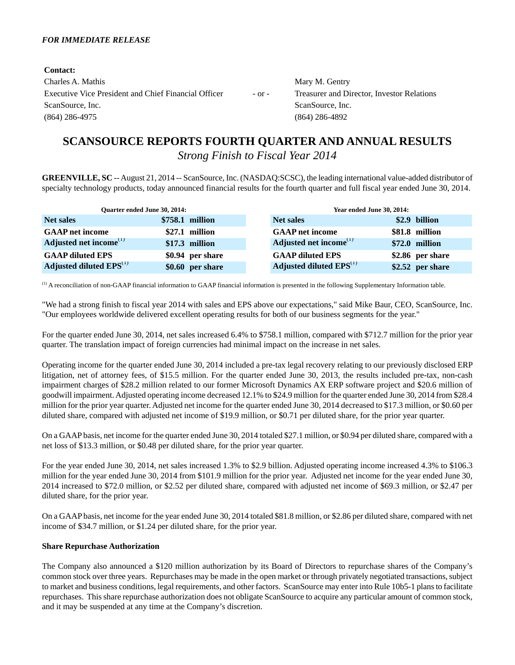**Contact:**  Charles A. Mathis Mary M. Gentry Executive Vice President and Chief Financial Officer - or - Treasurer and Director, Investor Relations ScanSource, Inc. ScanSource, Inc. ScanSource, Inc. (864) 286-4975 (864) 286-4892

# **SCANSOURCE REPORTS FOURTH QUARTER AND ANNUAL RESULTS**  *Strong Finish to Fiscal Year 2014*

**GREENVILLE, SC** -- August 21, 2014 -- ScanSource, Inc. (NASDAQ:SCSC), the leading international value-added distributor of specialty technology products, today announced financial results for the fourth quarter and full fiscal year ended June 30, 2014.

|                                    | Quarter ended June 30, 2014: |                                    | Year ended June 30, 2014: |  |  |  |  |
|------------------------------------|------------------------------|------------------------------------|---------------------------|--|--|--|--|
| <b>Net sales</b>                   | \$758.1 million              | <b>Net sales</b>                   | \$2.9 billion             |  |  |  |  |
| <b>GAAP</b> net income             | $$27.1$ million              | <b>GAAP</b> net income             | \$81.8 million            |  |  |  |  |
| Adjusted net income <sup>(1)</sup> | $$17.3$ million              | Adjusted net income <sup>(1)</sup> | $$72.0$ million           |  |  |  |  |
| <b>GAAP diluted EPS</b>            | $$0.94$ per share            | <b>GAAP diluted EPS</b>            | $$2.86$ per share         |  |  |  |  |
| Adjusted diluted $EPS^{(1)}$       | $$0.60$ per share            | Adjusted diluted $EPS^{(1)}$       | $$2.52$ per share         |  |  |  |  |

(1) A reconciliation of non-GAAP financial information to GAAP financial information is presented in the following Supplementary Information table.

"We had a strong finish to fiscal year 2014 with sales and EPS above our expectations," said Mike Baur, CEO, ScanSource, Inc. "Our employees worldwide delivered excellent operating results for both of our business segments for the year."

For the quarter ended June 30, 2014, net sales increased 6.4% to \$758.1 million, compared with \$712.7 million for the prior year quarter. The translation impact of foreign currencies had minimal impact on the increase in net sales.

Operating income for the quarter ended June 30, 2014 included a pre-tax legal recovery relating to our previously disclosed ERP litigation, net of attorney fees, of \$15.5 million. For the quarter ended June 30, 2013, the results included pre-tax, non-cash impairment charges of \$28.2 million related to our former Microsoft Dynamics AX ERP software project and \$20.6 million of goodwill impairment. Adjusted operating income decreased 12.1% to \$24.9 million for the quarter ended June 30, 2014 from \$28.4 million for the prior year quarter. Adjusted net income for the quarter ended June 30, 2014 decreased to \$17.3 million, or \$0.60 per diluted share, compared with adjusted net income of \$19.9 million, or \$0.71 per diluted share, for the prior year quarter.

On a GAAP basis, net income for the quarter ended June 30, 2014 totaled \$27.1 million, or \$0.94 per diluted share, compared with a net loss of \$13.3 million, or \$0.48 per diluted share, for the prior year quarter.

For the year ended June 30, 2014, net sales increased 1.3% to \$2.9 billion. Adjusted operating income increased 4.3% to \$106.3 million for the year ended June 30, 2014 from \$101.9 million for the prior year. Adjusted net income for the year ended June 30, 2014 increased to \$72.0 million, or \$2.52 per diluted share, compared with adjusted net income of \$69.3 million, or \$2.47 per diluted share, for the prior year.

On a GAAP basis, net income for the year ended June 30, 2014 totaled \$81.8 million, or \$2.86 per diluted share, compared with net income of \$34.7 million, or \$1.24 per diluted share, for the prior year.

#### **Share Repurchase Authorization**

The Company also announced a \$120 million authorization by its Board of Directors to repurchase shares of the Company's common stock over three years. Repurchases may be made in the open market or through privately negotiated transactions, subject to market and business conditions, legal requirements, and other factors. ScanSource may enter into Rule 10b5-1 plans to facilitate repurchases. This share repurchase authorization does not obligate ScanSource to acquire any particular amount of common stock, and it may be suspended at any time at the Company's discretion.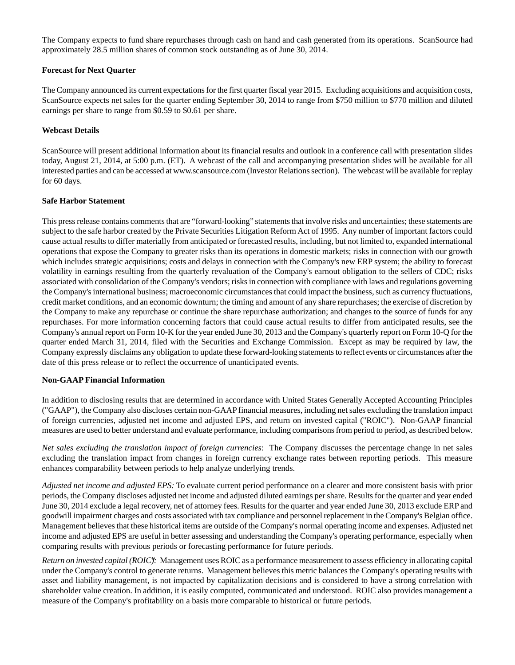The Company expects to fund share repurchases through cash on hand and cash generated from its operations. ScanSource had approximately 28.5 million shares of common stock outstanding as of June 30, 2014.

### **Forecast for Next Quarter**

The Company announced its current expectations for the first quarter fiscal year 2015. Excluding acquisitions and acquisition costs, ScanSource expects net sales for the quarter ending September 30, 2014 to range from \$750 million to \$770 million and diluted earnings per share to range from \$0.59 to \$0.61 per share.

#### **Webcast Details**

ScanSource will present additional information about its financial results and outlook in a conference call with presentation slides today, August 21, 2014, at 5:00 p.m. (ET). A webcast of the call and accompanying presentation slides will be available for all interested parties and can be accessed at www.scansource.com (Investor Relations section). The webcast will be available for replay for 60 days.

#### **Safe Harbor Statement**

This press release contains comments that are "forward-looking" statements that involve risks and uncertainties; these statements are subject to the safe harbor created by the Private Securities Litigation Reform Act of 1995. Any number of important factors could cause actual results to differ materially from anticipated or forecasted results, including, but not limited to, expanded international operations that expose the Company to greater risks than its operations in domestic markets; risks in connection with our growth which includes strategic acquisitions; costs and delays in connection with the Company's new ERP system; the ability to forecast volatility in earnings resulting from the quarterly revaluation of the Company's earnout obligation to the sellers of CDC; risks associated with consolidation of the Company's vendors; risks in connection with compliance with laws and regulations governing the Company's international business; macroeconomic circumstances that could impact the business, such as currency fluctuations, credit market conditions, and an economic downturn; the timing and amount of any share repurchases; the exercise of discretion by the Company to make any repurchase or continue the share repurchase authorization; and changes to the source of funds for any repurchases. For more information concerning factors that could cause actual results to differ from anticipated results, see the Company's annual report on Form 10-K for the year ended June 30, 2013 and the Company's quarterly report on Form 10-Q for the quarter ended March 31, 2014, filed with the Securities and Exchange Commission. Except as may be required by law, the Company expressly disclaims any obligation to update these forward-looking statements to reflect events or circumstances after the date of this press release or to reflect the occurrence of unanticipated events.

#### **Non-GAAP Financial Information**

In addition to disclosing results that are determined in accordance with United States Generally Accepted Accounting Principles ("GAAP"), the Company also discloses certain non-GAAP financial measures, including net sales excluding the translation impact of foreign currencies, adjusted net income and adjusted EPS, and return on invested capital ("ROIC"). Non-GAAP financial measures are used to better understand and evaluate performance, including comparisons from period to period, as described below.

*Net sales excluding the translation impact of foreign currencies*: The Company discusses the percentage change in net sales excluding the translation impact from changes in foreign currency exchange rates between reporting periods. This measure enhances comparability between periods to help analyze underlying trends.

*Adjusted net income and adjusted EPS:* To evaluate current period performance on a clearer and more consistent basis with prior periods, the Company discloses adjusted net income and adjusted diluted earnings per share. Results for the quarter and year ended June 30, 2014 exclude a legal recovery, net of attorney fees. Results for the quarter and year ended June 30, 2013 exclude ERP and goodwill impairment charges and costs associated with tax compliance and personnel replacement in the Company's Belgian office. Management believes that these historical items are outside of the Company's normal operating income and expenses. Adjusted net income and adjusted EPS are useful in better assessing and understanding the Company's operating performance, especially when comparing results with previous periods or forecasting performance for future periods.

*Return on invested capital ("ROIC"):* Management uses ROIC as a performance measurement to assess efficiency in allocating capital under the Company's control to generate returns. Management believes this metric balances the Company's operating results with asset and liability management, is not impacted by capitalization decisions and is considered to have a strong correlation with shareholder value creation. In addition, it is easily computed, communicated and understood. ROIC also provides management a measure of the Company's profitability on a basis more comparable to historical or future periods.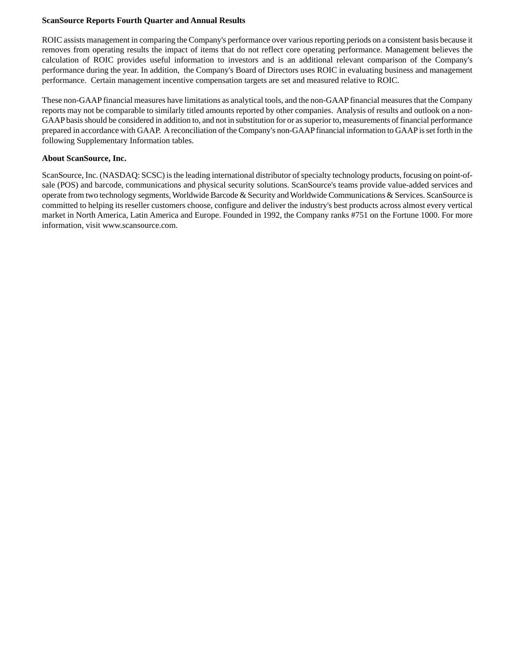ROIC assists management in comparing the Company's performance over various reporting periods on a consistent basis because it removes from operating results the impact of items that do not reflect core operating performance. Management believes the calculation of ROIC provides useful information to investors and is an additional relevant comparison of the Company's performance during the year. In addition, the Company's Board of Directors uses ROIC in evaluating business and management performance. Certain management incentive compensation targets are set and measured relative to ROIC.

These non-GAAP financial measures have limitations as analytical tools, and the non-GAAP financial measures that the Company reports may not be comparable to similarly titled amounts reported by other companies. Analysis of results and outlook on a non-GAAP basis should be considered in addition to, and not in substitution for or as superior to, measurements of financial performance prepared in accordance with GAAP. A reconciliation of the Company's non-GAAP financial information to GAAP is set forth in the following Supplementary Information tables.

# **About ScanSource, Inc.**

ScanSource, Inc. (NASDAQ: SCSC) is the leading international distributor of specialty technology products, focusing on point-ofsale (POS) and barcode, communications and physical security solutions. ScanSource's teams provide value-added services and operate from two technology segments, Worldwide Barcode & Security and Worldwide Communications & Services. ScanSource is committed to helping its reseller customers choose, configure and deliver the industry's best products across almost every vertical market in North America, Latin America and Europe. Founded in 1992, the Company ranks #751 on the Fortune 1000. For more information, visit www.scansource.com.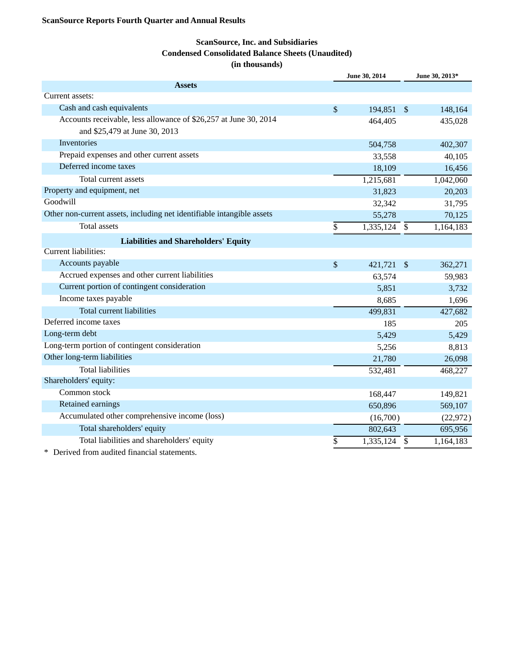# **ScanSource, Inc. and Subsidiaries Condensed Consolidated Balance Sheets (Unaudited)**

**(in thousands)** 

|                                                                                                   |                 | June 30, 2014 |               | June 30, 2013* |
|---------------------------------------------------------------------------------------------------|-----------------|---------------|---------------|----------------|
| <b>Assets</b>                                                                                     |                 |               |               |                |
| Current assets:                                                                                   |                 |               |               |                |
| Cash and cash equivalents                                                                         | \$              | 194,851       | $\mathcal{S}$ | 148,164        |
| Accounts receivable, less allowance of \$26,257 at June 30, 2014<br>and \$25,479 at June 30, 2013 |                 | 464,405       |               | 435,028        |
| Inventories                                                                                       |                 | 504,758       |               | 402,307        |
| Prepaid expenses and other current assets                                                         |                 | 33,558        |               | 40,105         |
| Deferred income taxes                                                                             |                 | 18,109        |               | 16,456         |
| Total current assets                                                                              |                 | 1,215,681     |               | 1,042,060      |
| Property and equipment, net                                                                       |                 | 31,823        |               | 20,203         |
| Goodwill                                                                                          |                 | 32,342        |               | 31,795         |
| Other non-current assets, including net identifiable intangible assets                            |                 | 55,278        |               | 70,125         |
| <b>Total assets</b>                                                                               | $\overline{\$}$ | 1,335,124     | $\mathcal{S}$ | 1,164,183      |
| <b>Liabilities and Shareholders' Equity</b>                                                       |                 |               |               |                |
| Current liabilities:                                                                              |                 |               |               |                |
| Accounts payable                                                                                  | $\mathcal{S}$   | 421,721       | $\mathcal{S}$ | 362,271        |
| Accrued expenses and other current liabilities                                                    |                 | 63,574        |               | 59,983         |
| Current portion of contingent consideration                                                       |                 | 5,851         |               | 3,732          |
| Income taxes payable                                                                              |                 | 8,685         |               | 1,696          |
| <b>Total current liabilities</b>                                                                  |                 | 499,831       |               | 427,682        |
| Deferred income taxes                                                                             |                 | 185           |               | 205            |
| Long-term debt                                                                                    |                 | 5,429         |               | 5,429          |
| Long-term portion of contingent consideration                                                     |                 | 5,256         |               | 8,813          |
| Other long-term liabilities                                                                       |                 | 21,780        |               | 26,098         |
| <b>Total liabilities</b>                                                                          |                 | 532,481       |               | 468,227        |
| Shareholders' equity:                                                                             |                 |               |               |                |
| Common stock                                                                                      |                 | 168,447       |               | 149,821        |
| Retained earnings                                                                                 |                 | 650,896       |               | 569,107        |
| Accumulated other comprehensive income (loss)                                                     |                 | (16,700)      |               | (22, 972)      |
| Total shareholders' equity                                                                        |                 | 802,643       |               | 695,956        |
| Total liabilities and shareholders' equity                                                        | \$              | 1,335,124     | <sup>\$</sup> | 1,164,183      |
| $\sim$ 11. 10.                                                                                    |                 |               |               |                |

\* Derived from audited financial statements.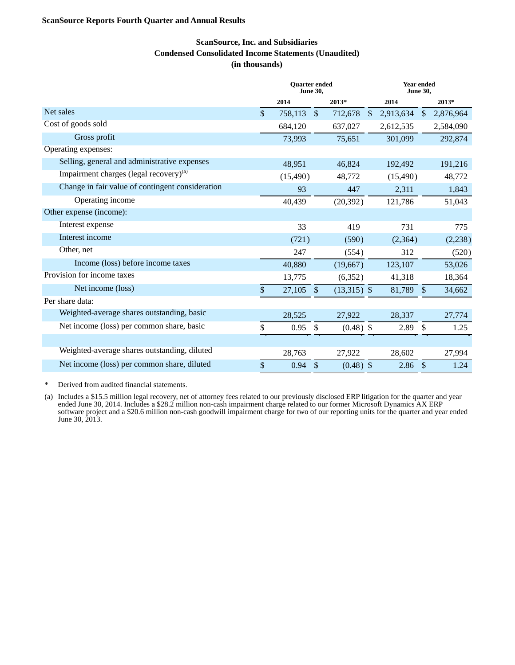# **ScanSource, Inc. and Subsidiaries Condensed Consolidated Income Statements (Unaudited) (in thousands)**

|                                                    |               | <b>Ouarter</b> ended<br><b>June 30,</b> |               |               |               | <b>Year ended</b><br><b>June 30.</b> |               |           |  |
|----------------------------------------------------|---------------|-----------------------------------------|---------------|---------------|---------------|--------------------------------------|---------------|-----------|--|
|                                                    |               | 2014                                    |               | 2013*         |               | 2014                                 |               | 2013*     |  |
| Net sales                                          | $\mathcal{S}$ | 758,113                                 | $\mathcal{S}$ | 712,678       | $\frac{1}{2}$ | 2,913,634                            | $\sqrt{\$}$   | 2,876,964 |  |
| Cost of goods sold                                 |               | 684,120                                 |               | 637,027       |               | 2,612,535                            |               | 2,584,090 |  |
| Gross profit                                       |               | 73,993                                  |               | 75,651        |               | 301,099                              |               | 292,874   |  |
| Operating expenses:                                |               |                                         |               |               |               |                                      |               |           |  |
| Selling, general and administrative expenses       |               | 48,951                                  |               | 46,824        |               | 192,492                              |               | 191,216   |  |
| Impairment charges (legal recovery) <sup>(a)</sup> |               | (15, 490)                               |               | 48,772        |               | (15,490)                             |               | 48,772    |  |
| Change in fair value of contingent consideration   |               | 93                                      |               | 447           |               | 2,311                                |               | 1,843     |  |
| Operating income                                   |               | 40,439                                  |               | (20, 392)     |               | 121,786                              |               | 51,043    |  |
| Other expense (income):                            |               |                                         |               |               |               |                                      |               |           |  |
| Interest expense                                   |               | 33                                      |               | 419           |               | 731                                  |               | 775       |  |
| Interest income                                    |               | (721)                                   |               | (590)         |               | (2,364)                              |               | (2,238)   |  |
| Other, net                                         |               | 247                                     |               | (554)         |               | 312                                  |               | (520)     |  |
| Income (loss) before income taxes                  |               | 40,880                                  |               | (19,667)      |               | 123,107                              |               | 53,026    |  |
| Provision for income taxes                         |               | 13,775                                  |               | (6,352)       |               | 41,318                               |               | 18,364    |  |
| Net income (loss)                                  | $\sqrt$       | 27,105                                  | $\mathcal{S}$ | $(13,315)$ \$ |               | 81,789                               | $\mathcal{S}$ | 34,662    |  |
| Per share data:                                    |               |                                         |               |               |               |                                      |               |           |  |
| Weighted-average shares outstanding, basic         |               | 28,525                                  |               | 27,922        |               | 28,337                               |               | 27,774    |  |
| Net income (loss) per common share, basic          | \$            | 0.95                                    | -S            | $(0.48)$ \$   |               | 2.89                                 | \$            | 1.25      |  |
|                                                    |               |                                         |               |               |               |                                      |               |           |  |
| Weighted-average shares outstanding, diluted       |               | 28,763                                  |               | 27,922        |               | 28,602                               |               | 27,994    |  |
| Net income (loss) per common share, diluted        | \$            | 0.94                                    | $\sqrt$       | $(0.48)$ \$   |               | $2.86$ \$                            |               | 1.24      |  |

\* Derived from audited financial statements.

(a) Includes a \$15.5 million legal recovery, net of attorney fees related to our previously disclosed ERP litigation for the quarter and year ended June 30, 2014. Includes a \$28.2 million non-cash impairment charge related to our former Microsoft Dynamics AX ERP software project and a \$20.6 million non-cash goodwill impairment charge for two of our reporting units for the quarter and year ended June 30, 2013.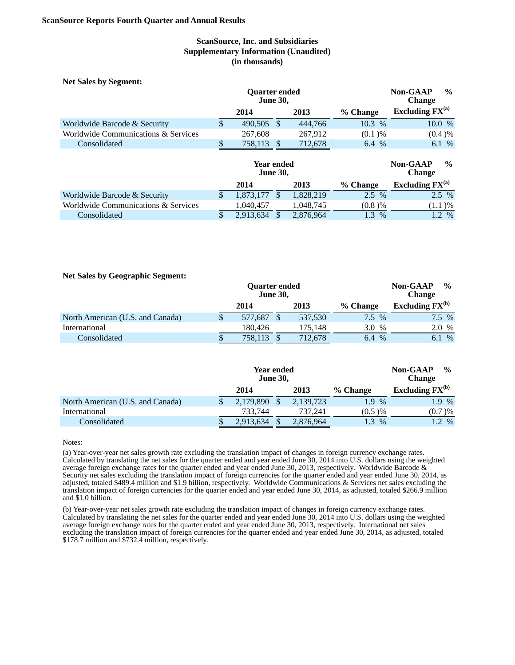### **ScanSource, Inc. and Subsidiaries Supplementary Information (Unaudited) (in thousands)**

| <b>Net Sales by Segment:</b>        |                               |                                         |               |           |             |                                            |
|-------------------------------------|-------------------------------|-----------------------------------------|---------------|-----------|-------------|--------------------------------------------|
|                                     |                               | <b>Ouarter ended</b><br><b>June 30,</b> |               |           |             | $\frac{0}{0}$<br>Non-GAAP<br><b>Change</b> |
|                                     |                               | 2014                                    |               | 2013      | % Change    | Excluding $FX^{(a)}$                       |
| Worldwide Barcode & Security        | \$                            | 490,505                                 | <sup>\$</sup> | 444,766   | 10.3 %      | 10.0 %                                     |
| Worldwide Communications & Services |                               | 267,608                                 |               | 267,912   | $(0.1)$ %   | $(0.4)$ %                                  |
| Consolidated                        | \$                            | 758,113                                 | -S            | 712,678   | 6.4%        | 6.1 %                                      |
|                                     | Year ended<br><b>June 30,</b> |                                         |               |           |             | $\frac{0}{0}$<br>Non-GAAP<br><b>Change</b> |
|                                     |                               | 2014                                    |               | 2013      | % Change    | Excluding $FX^{(a)}$                       |
| Worldwide Barcode & Security        | \$                            | 1.873.177                               | -S            | 1.828.219 | 2.5 %       | $2.5\%$                                    |
| Worldwide Communications & Services |                               | 1.040.457                               |               | 1.048.745 | $(0.8)$ %   | $(1.1)$ %                                  |
| Consolidated                        | \$                            | 2,913,634                               |               | 2.876.964 | 1.3<br>$\%$ | $1.2 \, %$                                 |

#### **Net Sales by Geographic Segment:**

|                                  | <b>Ouarter ended</b><br><b>June 30,</b> |         |          | <b>Non-GAAP</b><br>$\frac{0}{0}$<br><b>Change</b> |
|----------------------------------|-----------------------------------------|---------|----------|---------------------------------------------------|
|                                  | 2014                                    | 2013    | % Change | Excluding $FX^{(b)}$                              |
| North American (U.S. and Canada) | \$<br>577.687                           | 537.530 | $7.5\%$  | 7.5 %                                             |
| International                    | 180.426                                 | 175.148 | 3.0 %    | 2.0 %                                             |
| Consolidated                     | \$<br>758.113                           | 712,678 | 6.4 %    | $\%$                                              |

|                                  |    | <b>Year ended</b><br><b>June 30,</b> | $\frac{6}{9}$<br><b>Non-GAAP</b><br><b>Change</b> |             |                      |
|----------------------------------|----|--------------------------------------|---------------------------------------------------|-------------|----------------------|
|                                  |    | 2014                                 | 2013                                              | % Change    | Excluding $FX^{(b)}$ |
| North American (U.S. and Canada) | S  | 2,179,890                            | 2,139,723                                         | 1.9 %       | $.9\%$               |
| International                    |    | 733.744                              | 737.241                                           | $(0.5)$ %   | 7)%<br>(0.7          |
| Consolidated                     | \$ | 2.913.634                            | 2,876,964                                         | 1.3<br>$\%$ | $.2 \frac{9}{6}$     |

Notes:

(a) Year-over-year net sales growth rate excluding the translation impact of changes in foreign currency exchange rates. Calculated by translating the net sales for the quarter ended and year ended June 30, 2014 into U.S. dollars using the weighted average foreign exchange rates for the quarter ended and year ended June 30, 2013, respectively. Worldwide Barcode & Security net sales excluding the translation impact of foreign currencies for the quarter ended and year ended June 30, 2014, as adjusted, totaled \$489.4 million and \$1.9 billion, respectively. Worldwide Communications & Services net sales excluding the translation impact of foreign currencies for the quarter ended and year ended June 30, 2014, as adjusted, totaled \$266.9 million and \$1.0 billion.

(b) Year-over-year net sales growth rate excluding the translation impact of changes in foreign currency exchange rates. Calculated by translating the net sales for the quarter ended and year ended June 30, 2014 into U.S. dollars using the weighted average foreign exchange rates for the quarter ended and year ended June 30, 2013, respectively. International net sales excluding the translation impact of foreign currencies for the quarter ended and year ended June 30, 2014, as adjusted, totaled \$178.7 million and \$732.4 million, respectively.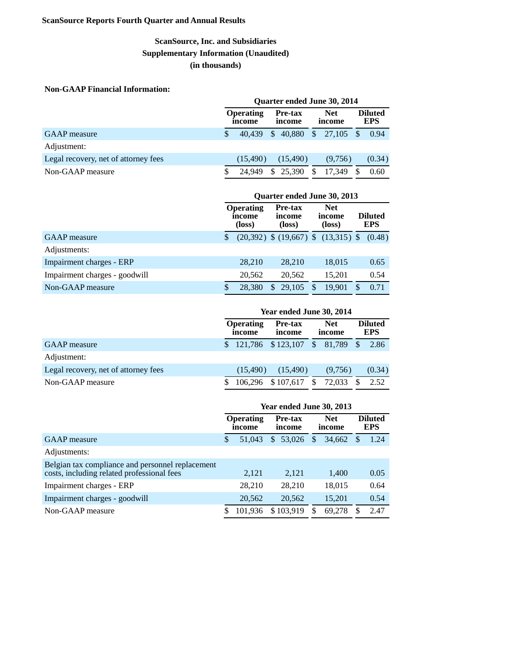# **ScanSource, Inc. and Subsidiaries Supplementary Information (Unaudited) (in thousands)**

# **Non-GAAP Financial Information:**

|                                      | <b>Ouarter ended June 30, 2014</b> |           |                          |          |                      |         |                              |        |  |
|--------------------------------------|------------------------------------|-----------|--------------------------|----------|----------------------|---------|------------------------------|--------|--|
|                                      | <b>Operating</b><br>income         |           | <b>Pre-tax</b><br>income |          | <b>Net</b><br>income |         | <b>Diluted</b><br><b>EPS</b> |        |  |
| <b>GAAP</b> measure                  |                                    | 40.439    | \$.                      | 40.880   | $\mathbb{S}$         | 27,105  |                              | 0.94   |  |
| Adjustment:                          |                                    |           |                          |          |                      |         |                              |        |  |
| Legal recovery, net of attorney fees |                                    | (15, 490) |                          | (15,490) |                      | (9,756) |                              | (0.34) |  |
| Non-GAAP measure                     |                                    | 24.949    | \$.                      | 25.390   | \$                   | 17.349  |                              | 0.60   |  |

|                               | <b>Ouarter ended June 30, 2013</b>   |        |                                             |                                |        |  |                              |  |
|-------------------------------|--------------------------------------|--------|---------------------------------------------|--------------------------------|--------|--|------------------------------|--|
|                               | <b>Operating</b><br>income<br>(loss) |        | <b>Pre-tax</b><br>income<br>$(\text{loss})$ | <b>Net</b><br>income<br>(loss) |        |  | <b>Diluted</b><br><b>EPS</b> |  |
| <b>GAAP</b> measure           | \$                                   |        | $(20,392)$ \$ $(19,667)$ \$ $(13,315)$ \$   |                                |        |  | (0.48)                       |  |
| Adjustments:                  |                                      |        |                                             |                                |        |  |                              |  |
| Impairment charges - ERP      |                                      | 28,210 | 28,210                                      |                                | 18,015 |  | 0.65                         |  |
| Impairment charges - goodwill |                                      | 20,562 | 20.562                                      |                                | 15,201 |  | 0.54                         |  |
| Non-GAAP measure              | S                                    | 28.380 | 29.105<br>S                                 | S                              | 19.901 |  | 0.71                         |  |

|                                      | Year ended June 30, 2014             |          |                                 |                      |         |                              |        |  |  |
|--------------------------------------|--------------------------------------|----------|---------------------------------|----------------------|---------|------------------------------|--------|--|--|
|                                      | <b>Operating</b><br>income<br>income |          | <b>Pre-tax</b>                  | <b>Net</b><br>income |         | <b>Diluted</b><br><b>EPS</b> |        |  |  |
| GAAP measure                         |                                      |          | $$121,786$ $$123,107$ $$81,789$ |                      |         | - \$                         | 2.86   |  |  |
| Adjustment:                          |                                      |          |                                 |                      |         |                              |        |  |  |
| Legal recovery, net of attorney fees |                                      | (15,490) | (15,490)                        |                      | (9,756) |                              | (0.34) |  |  |
| Non-GAAP measure                     |                                      | 106.296  | $$107,617$ \ \$                 |                      | 72.033  |                              | 2.52   |  |  |

|                                                                                                | Year ended June 30, 2013 |                            |                          |                      |        |   |                              |
|------------------------------------------------------------------------------------------------|--------------------------|----------------------------|--------------------------|----------------------|--------|---|------------------------------|
|                                                                                                |                          | <b>Operating</b><br>income | <b>Pre-tax</b><br>income | <b>Net</b><br>income |        |   | <b>Diluted</b><br><b>EPS</b> |
| GAAP measure                                                                                   | \$                       | 51,043                     | 53,026<br>S              | S                    | 34,662 | S | 1.24                         |
| Adjustments:                                                                                   |                          |                            |                          |                      |        |   |                              |
| Belgian tax compliance and personnel replacement<br>costs, including related professional fees |                          | 2,121                      | 2,121                    |                      | 1,400  |   | 0.05                         |
| Impairment charges - ERP                                                                       |                          | 28,210                     | 28,210                   |                      | 18,015 |   | 0.64                         |
| Impairment charges - goodwill                                                                  |                          | 20,562                     | 20,562                   |                      | 15,201 |   | 0.54                         |
| Non-GAAP measure                                                                               |                          | 101,936                    | \$103,919                | \$                   | 69,278 |   | 2.47                         |